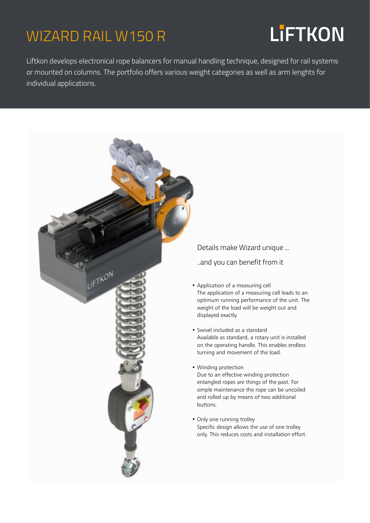### WIZARD RAIL W150 R

# **LiFTKON**

Liftkon develops electronical rope balancers for manual handling technique, designed for rail systems or mounted on columns. The portfolio offers various weight categories as well as arm lenghts for individual applications.



Details make Wizard unique ...

..and you can benefit from it

- Application of a measuring cell The application of a measuring cell leads to an optimum running performance of the unit. The weight of the load will be weight out and displayed exactly.
- Swivel included as a standard Available as standard, a rotary unit is installed on the operating handle. This enables endless turning and movement of the load.
- Winding protection Due to an effective winding protection entangled ropes are things of the past. For simple maintenance the rope can be uncoiled and rolled up by means of two additional buttons.
- Only one running trolley Specific design allows the use of one trolley only. This reduces costs and installation effort.